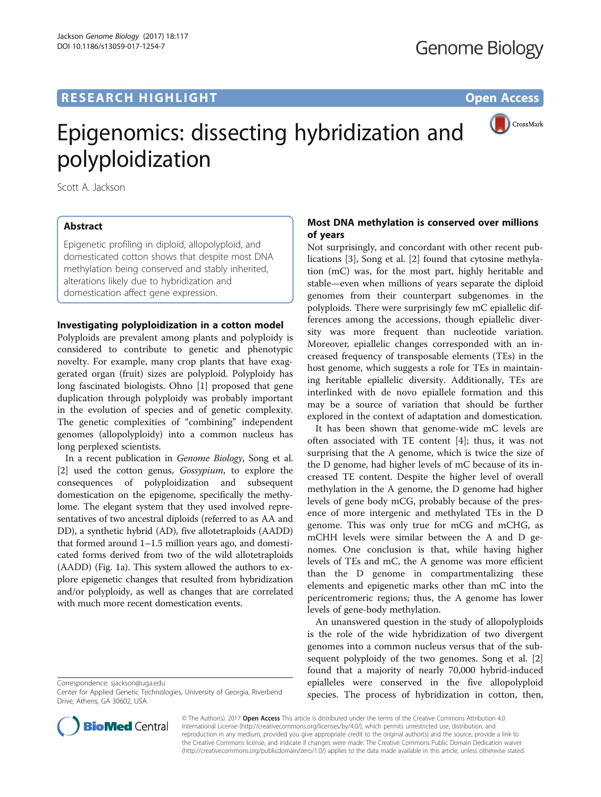# **RESEARCH HIGHLIGHT CONSUMING THE OPEN ACCESS**



# Epigenomics: dissecting hybridization and polyploidization

Scott A. Jackson

# Abstract

Epigenetic profiling in diploid, allopolyploid, and domesticated cotton shows that despite most DNA methylation being conserved and stably inherited, alterations likely due to hybridization and domestication affect gene expression.

# Investigating polyploidization in a cotton model

Polyploids are prevalent among plants and polyploidy is considered to contribute to genetic and phenotypic novelty. For example, many crop plants that have exaggerated organ (fruit) sizes are polyploid. Polyploidy has long fascinated biologists. Ohno [\[1](#page-2-0)] proposed that gene duplication through polyploidy was probably important in the evolution of species and of genetic complexity. The genetic complexities of "combining" independent genomes (allopolyploidy) into a common nucleus has long perplexed scientists.

In a recent publication in Genome Biology, Song et al. [[2\]](#page-2-0) used the cotton genus, Gossypium, to explore the consequences of polyploidization and subsequent domestication on the epigenome, specifically the methylome. The elegant system that they used involved representatives of two ancestral diploids (referred to as AA and DD), a synthetic hybrid (AD), five allotetraploids (AADD) that formed around 1–1.5 million years ago, and domesticated forms derived from two of the wild allotetraploids (AADD) (Fig. [1a\)](#page-1-0). This system allowed the authors to explore epigenetic changes that resulted from hybridization and/or polyploidy, as well as changes that are correlated with much more recent domestication events.

# Most DNA methylation is conserved over millions of years

Not surprisingly, and concordant with other recent publications [\[3\]](#page-2-0), Song et al. [\[2](#page-2-0)] found that cytosine methylation (mC) was, for the most part, highly heritable and stable—even when millions of years separate the diploid genomes from their counterpart subgenomes in the polyploids. There were surprisingly few mC epiallelic differences among the accessions, though epiallelic diversity was more frequent than nucleotide variation. Moreover, epiallelic changes corresponded with an increased frequency of transposable elements (TEs) in the host genome, which suggests a role for TEs in maintaining heritable epiallelic diversity. Additionally, TEs are interlinked with de novo epiallele formation and this may be a source of variation that should be further explored in the context of adaptation and domestication.

It has been shown that genome-wide mC levels are often associated with TE content [[4](#page-2-0)]; thus, it was not surprising that the A genome, which is twice the size of the D genome, had higher levels of mC because of its increased TE content. Despite the higher level of overall methylation in the A genome, the D genome had higher levels of gene body mCG, probably because of the presence of more intergenic and methylated TEs in the D genome. This was only true for mCG and mCHG, as mCHH levels were similar between the A and D genomes. One conclusion is that, while having higher levels of TEs and mC, the A genome was more efficient than the D genome in compartmentalizing these elements and epigenetic marks other than mC into the pericentromeric regions; thus, the A genome has lower levels of gene-body methylation.

An unanswered question in the study of allopolyploids is the role of the wide hybridization of two divergent genomes into a common nucleus versus that of the subsequent polyploidy of the two genomes. Song et al. [\[2](#page-2-0)] found that a majority of nearly 70,000 hybrid-induced epialleles were conserved in the five allopolyploid species. The process of hybridization in cotton, then,



© The Author(s). 2017 **Open Access** This article is distributed under the terms of the Creative Commons Attribution 4.0 International License [\(http://creativecommons.org/licenses/by/4.0/](http://creativecommons.org/licenses/by/4.0/)), which permits unrestricted use, distribution, and reproduction in any medium, provided you give appropriate credit to the original author(s) and the source, provide a link to the Creative Commons license, and indicate if changes were made. The Creative Commons Public Domain Dedication waiver [\(http://creativecommons.org/publicdomain/zero/1.0/](http://creativecommons.org/publicdomain/zero/1.0/)) applies to the data made available in this article, unless otherwise stated.

Correspondence: [sjackson@uga.edu](mailto:sjackson@uga.edu)

Center for Applied Genetic Technologies, University of Georgia, Riverbend Drive, Athens, GA 30602, USA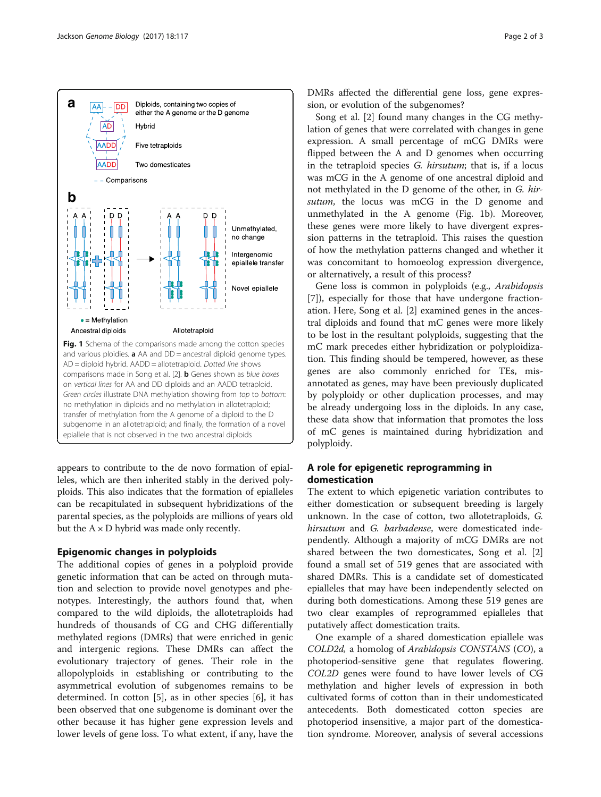<span id="page-1-0"></span>

appears to contribute to the de novo formation of epialleles, which are then inherited stably in the derived polyploids. This also indicates that the formation of epialleles can be recapitulated in subsequent hybridizations of the parental species, as the polyploids are millions of years old but the  $A \times D$  hybrid was made only recently.

### Epigenomic changes in polyploids

The additional copies of genes in a polyploid provide genetic information that can be acted on through mutation and selection to provide novel genotypes and phenotypes. Interestingly, the authors found that, when compared to the wild diploids, the allotetraploids had hundreds of thousands of CG and CHG differentially methylated regions (DMRs) that were enriched in genic and intergenic regions. These DMRs can affect the evolutionary trajectory of genes. Their role in the allopolyploids in establishing or contributing to the asymmetrical evolution of subgenomes remains to be determined. In cotton [[5\]](#page-2-0), as in other species [[6](#page-2-0)], it has been observed that one subgenome is dominant over the other because it has higher gene expression levels and lower levels of gene loss. To what extent, if any, have the

DMRs affected the differential gene loss, gene expression, or evolution of the subgenomes?

Song et al. [\[2](#page-2-0)] found many changes in the CG methylation of genes that were correlated with changes in gene expression. A small percentage of mCG DMRs were flipped between the A and D genomes when occurring in the tetraploid species G. hirsutum; that is, if a locus was mCG in the A genome of one ancestral diploid and not methylated in the D genome of the other, in G. hirsutum, the locus was mCG in the D genome and unmethylated in the A genome (Fig. 1b). Moreover, these genes were more likely to have divergent expression patterns in the tetraploid. This raises the question of how the methylation patterns changed and whether it was concomitant to homoeolog expression divergence, or alternatively, a result of this process?

Gene loss is common in polyploids (e.g., Arabidopsis [[7\]](#page-2-0)), especially for those that have undergone fractionation. Here, Song et al. [[2\]](#page-2-0) examined genes in the ancestral diploids and found that mC genes were more likely to be lost in the resultant polyploids, suggesting that the mC mark precedes either hybridization or polyploidization. This finding should be tempered, however, as these genes are also commonly enriched for TEs, misannotated as genes, may have been previously duplicated by polyploidy or other duplication processes, and may be already undergoing loss in the diploids. In any case, these data show that information that promotes the loss of mC genes is maintained during hybridization and polyploidy.

# A role for epigenetic reprogramming in domestication

The extent to which epigenetic variation contributes to either domestication or subsequent breeding is largely unknown. In the case of cotton, two allotetraploids, G. hirsutum and G. barbadense, were domesticated independently. Although a majority of mCG DMRs are not shared between the two domesticates, Song et al. [\[2](#page-2-0)] found a small set of 519 genes that are associated with shared DMRs. This is a candidate set of domesticated epialleles that may have been independently selected on during both domestications. Among these 519 genes are two clear examples of reprogrammed epialleles that putatively affect domestication traits.

One example of a shared domestication epiallele was COLD2d, a homolog of Arabidopsis CONSTANS (CO), a photoperiod-sensitive gene that regulates flowering. COL2D genes were found to have lower levels of CG methylation and higher levels of expression in both cultivated forms of cotton than in their undomesticated antecedents. Both domesticated cotton species are photoperiod insensitive, a major part of the domestication syndrome. Moreover, analysis of several accessions